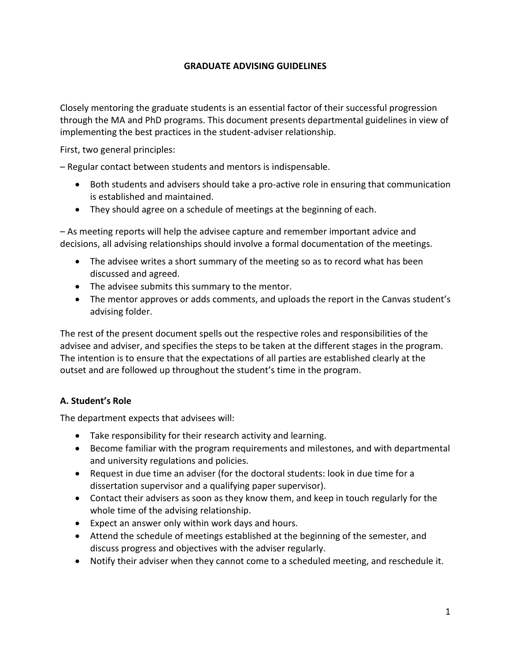#### **GRADUATE ADVISING GUIDELINES**

Closely mentoring the graduate students is an essential factor of their successful progression through the MA and PhD programs. This document presents departmental guidelines in view of implementing the best practices in the student-adviser relationship.

First, two general principles:

– Regular contact between students and mentors is indispensable.

- Both students and advisers should take a pro-active role in ensuring that communication is established and maintained.
- They should agree on a schedule of meetings at the beginning of each.

– As meeting reports will help the advisee capture and remember important advice and decisions, all advising relationships should involve a formal documentation of the meetings.

- The advisee writes a short summary of the meeting so as to record what has been discussed and agreed.
- The advisee submits this summary to the mentor.
- The mentor approves or adds comments, and uploads the report in the Canvas student's advising folder.

The rest of the present document spells out the respective roles and responsibilities of the advisee and adviser, and specifies the steps to be taken at the different stages in the program. The intention is to ensure that the expectations of all parties are established clearly at the outset and are followed up throughout the student's time in the program.

#### **A. Student's Role**

The department expects that advisees will:

- Take responsibility for their research activity and learning.
- Become familiar with the program requirements and milestones, and with departmental and university regulations and policies.
- Request in due time an adviser (for the doctoral students: look in due time for a dissertation supervisor and a qualifying paper supervisor).
- Contact their advisers as soon as they know them, and keep in touch regularly for the whole time of the advising relationship.
- Expect an answer only within work days and hours.
- Attend the schedule of meetings established at the beginning of the semester, and discuss progress and objectives with the adviser regularly.
- Notify their adviser when they cannot come to a scheduled meeting, and reschedule it.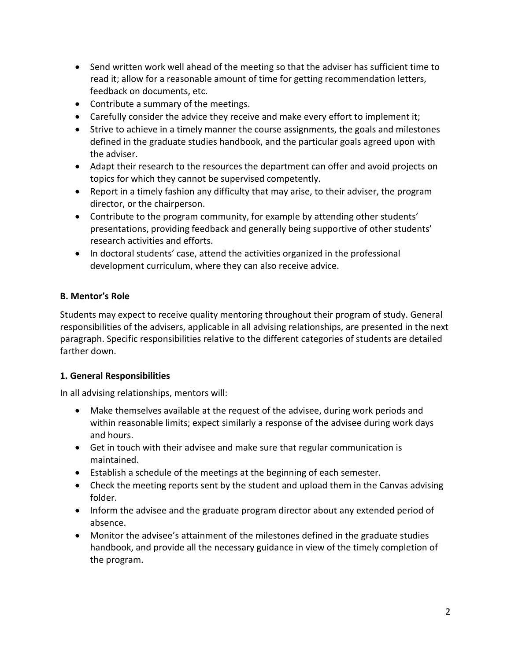- Send written work well ahead of the meeting so that the adviser has sufficient time to read it; allow for a reasonable amount of time for getting recommendation letters, feedback on documents, etc.
- Contribute a summary of the meetings.
- Carefully consider the advice they receive and make every effort to implement it;
- Strive to achieve in a timely manner the course assignments, the goals and milestones defined in the graduate studies handbook, and the particular goals agreed upon with the adviser.
- Adapt their research to the resources the department can offer and avoid projects on topics for which they cannot be supervised competently.
- Report in a timely fashion any difficulty that may arise, to their adviser, the program director, or the chairperson.
- Contribute to the program community, for example by attending other students' presentations, providing feedback and generally being supportive of other students' research activities and efforts.
- In doctoral students' case, attend the activities organized in the professional development curriculum, where they can also receive advice.

## **B. Mentor's Role**

Students may expect to receive quality mentoring throughout their program of study. General responsibilities of the advisers, applicable in all advising relationships, are presented in the next paragraph. Specific responsibilities relative to the different categories of students are detailed farther down.

## **1. General Responsibilities**

In all advising relationships, mentors will:

- Make themselves available at the request of the advisee, during work periods and within reasonable limits; expect similarly a response of the advisee during work days and hours.
- Get in touch with their advisee and make sure that regular communication is maintained.
- Establish a schedule of the meetings at the beginning of each semester.
- Check the meeting reports sent by the student and upload them in the Canvas advising folder.
- Inform the advisee and the graduate program director about any extended period of absence.
- Monitor the advisee's attainment of the milestones defined in the graduate studies handbook, and provide all the necessary guidance in view of the timely completion of the program.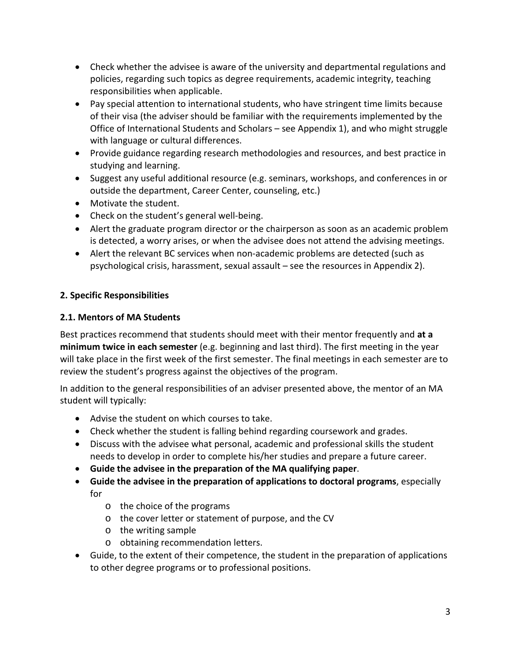- Check whether the advisee is aware of the university and departmental regulations and policies, regarding such topics as degree requirements, academic integrity, teaching responsibilities when applicable.
- Pay special attention to international students, who have stringent time limits because of their visa (the adviser should be familiar with the requirements implemented by the Office of International Students and Scholars – see Appendix 1), and who might struggle with language or cultural differences.
- Provide guidance regarding research methodologies and resources, and best practice in studying and learning.
- Suggest any useful additional resource (e.g. seminars, workshops, and conferences in or outside the department, Career Center, counseling, etc.)
- Motivate the student.
- Check on the student's general well-being.
- Alert the graduate program director or the chairperson as soon as an academic problem is detected, a worry arises, or when the advisee does not attend the advising meetings.
- Alert the relevant BC services when non-academic problems are detected (such as psychological crisis, harassment, sexual assault – see the resources in Appendix 2).

#### **2. Specific Responsibilities**

#### **2.1. Mentors of MA Students**

Best practices recommend that students should meet with their mentor frequently and **at a minimum twice in each semester** (e.g. beginning and last third). The first meeting in the year will take place in the first week of the first semester. The final meetings in each semester are to review the student's progress against the objectives of the program.

In addition to the general responsibilities of an adviser presented above, the mentor of an MA student will typically:

- Advise the student on which courses to take.
- Check whether the student is falling behind regarding coursework and grades.
- Discuss with the advisee what personal, academic and professional skills the student needs to develop in order to complete his/her studies and prepare a future career.
- **Guide the advisee in the preparation of the MA qualifying paper**.
- **Guide the advisee in the preparation of applications to doctoral programs**, especially for
	- o the choice of the programs
	- o the cover letter or statement of purpose, and the CV
	- o the writing sample
	- o obtaining recommendation letters.
- Guide, to the extent of their competence, the student in the preparation of applications to other degree programs or to professional positions.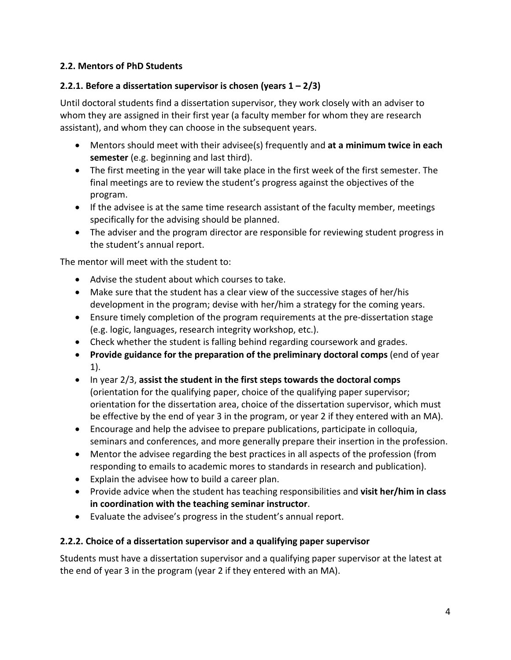## **2.2. Mentors of PhD Students**

#### **2.2.1. Before a dissertation supervisor is chosen (years 1 – 2/3)**

Until doctoral students find a dissertation supervisor, they work closely with an adviser to whom they are assigned in their first year (a faculty member for whom they are research assistant), and whom they can choose in the subsequent years.

- Mentors should meet with their advisee(s) frequently and **at a minimum twice in each semester** (e.g. beginning and last third).
- The first meeting in the year will take place in the first week of the first semester. The final meetings are to review the student's progress against the objectives of the program.
- If the advisee is at the same time research assistant of the faculty member, meetings specifically for the advising should be planned.
- The adviser and the program director are responsible for reviewing student progress in the student's annual report.

The mentor will meet with the student to:

- Advise the student about which courses to take.
- Make sure that the student has a clear view of the successive stages of her/his development in the program; devise with her/him a strategy for the coming years.
- Ensure timely completion of the program requirements at the pre-dissertation stage (e.g. logic, languages, research integrity workshop, etc.).
- Check whether the student is falling behind regarding coursework and grades.
- **Provide guidance for the preparation of the preliminary doctoral comps** (end of year 1).
- In year 2/3, **assist the student in the first steps towards the doctoral comps** (orientation for the qualifying paper, choice of the qualifying paper supervisor; orientation for the dissertation area, choice of the dissertation supervisor, which must be effective by the end of year 3 in the program, or year 2 if they entered with an MA).
- Encourage and help the advisee to prepare publications, participate in colloquia, seminars and conferences, and more generally prepare their insertion in the profession.
- Mentor the advisee regarding the best practices in all aspects of the profession (from responding to emails to academic mores to standards in research and publication).
- Explain the advisee how to build a career plan.
- Provide advice when the student has teaching responsibilities and **visit her/him in class in coordination with the teaching seminar instructor**.
- Evaluate the advisee's progress in the student's annual report.

## **2.2.2. Choice of a dissertation supervisor and a qualifying paper supervisor**

Students must have a dissertation supervisor and a qualifying paper supervisor at the latest at the end of year 3 in the program (year 2 if they entered with an MA).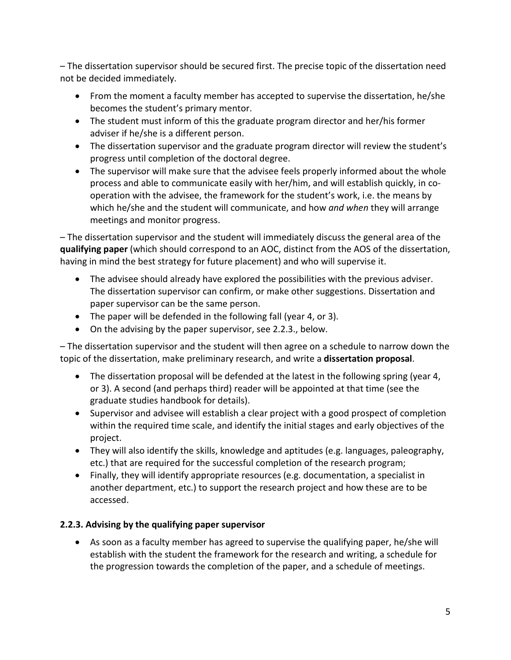– The dissertation supervisor should be secured first. The precise topic of the dissertation need not be decided immediately.

- From the moment a faculty member has accepted to supervise the dissertation, he/she becomes the student's primary mentor.
- The student must inform of this the graduate program director and her/his former adviser if he/she is a different person.
- The dissertation supervisor and the graduate program director will review the student's progress until completion of the doctoral degree.
- The supervisor will make sure that the advisee feels properly informed about the whole process and able to communicate easily with her/him, and will establish quickly, in cooperation with the advisee, the framework for the student's work, i.e. the means by which he/she and the student will communicate, and how *and when* they will arrange meetings and monitor progress.

– The dissertation supervisor and the student will immediately discuss the general area of the **qualifying paper** (which should correspond to an AOC, distinct from the AOS of the dissertation, having in mind the best strategy for future placement) and who will supervise it.

- The advisee should already have explored the possibilities with the previous adviser. The dissertation supervisor can confirm, or make other suggestions. Dissertation and paper supervisor can be the same person.
- The paper will be defended in the following fall (year 4, or 3).
- On the advising by the paper supervisor, see 2.2.3., below.

– The dissertation supervisor and the student will then agree on a schedule to narrow down the topic of the dissertation, make preliminary research, and write a **dissertation proposal**.

- The dissertation proposal will be defended at the latest in the following spring (year 4, or 3). A second (and perhaps third) reader will be appointed at that time (see the graduate studies handbook for details).
- Supervisor and advisee will establish a clear project with a good prospect of completion within the required time scale, and identify the initial stages and early objectives of the project.
- They will also identify the skills, knowledge and aptitudes (e.g. languages, paleography, etc.) that are required for the successful completion of the research program;
- Finally, they will identify appropriate resources (e.g. documentation, a specialist in another department, etc.) to support the research project and how these are to be accessed.

## **2.2.3. Advising by the qualifying paper supervisor**

• As soon as a faculty member has agreed to supervise the qualifying paper, he/she will establish with the student the framework for the research and writing, a schedule for the progression towards the completion of the paper, and a schedule of meetings.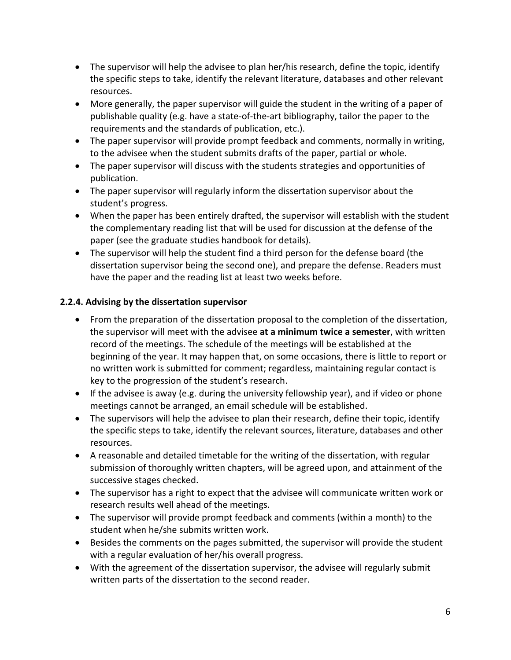- The supervisor will help the advisee to plan her/his research, define the topic, identify the specific steps to take, identify the relevant literature, databases and other relevant resources.
- More generally, the paper supervisor will guide the student in the writing of a paper of publishable quality (e.g. have a state-of-the-art bibliography, tailor the paper to the requirements and the standards of publication, etc.).
- The paper supervisor will provide prompt feedback and comments, normally in writing, to the advisee when the student submits drafts of the paper, partial or whole.
- The paper supervisor will discuss with the students strategies and opportunities of publication.
- The paper supervisor will regularly inform the dissertation supervisor about the student's progress.
- When the paper has been entirely drafted, the supervisor will establish with the student the complementary reading list that will be used for discussion at the defense of the paper (see the graduate studies handbook for details).
- The supervisor will help the student find a third person for the defense board (the dissertation supervisor being the second one), and prepare the defense. Readers must have the paper and the reading list at least two weeks before.

## **2.2.4. Advising by the dissertation supervisor**

- From the preparation of the dissertation proposal to the completion of the dissertation, the supervisor will meet with the advisee **at a minimum twice a semester**, with written record of the meetings. The schedule of the meetings will be established at the beginning of the year. It may happen that, on some occasions, there is little to report or no written work is submitted for comment; regardless, maintaining regular contact is key to the progression of the student's research.
- If the advisee is away (e.g. during the university fellowship year), and if video or phone meetings cannot be arranged, an email schedule will be established.
- The supervisors will help the advisee to plan their research, define their topic, identify the specific steps to take, identify the relevant sources, literature, databases and other resources.
- A reasonable and detailed timetable for the writing of the dissertation, with regular submission of thoroughly written chapters, will be agreed upon, and attainment of the successive stages checked.
- The supervisor has a right to expect that the advisee will communicate written work or research results well ahead of the meetings.
- The supervisor will provide prompt feedback and comments (within a month) to the student when he/she submits written work.
- Besides the comments on the pages submitted, the supervisor will provide the student with a regular evaluation of her/his overall progress.
- With the agreement of the dissertation supervisor, the advisee will regularly submit written parts of the dissertation to the second reader.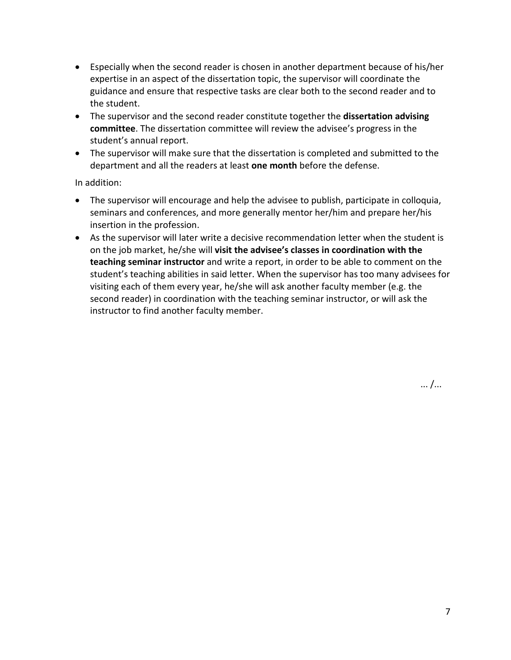- Especially when the second reader is chosen in another department because of his/her expertise in an aspect of the dissertation topic, the supervisor will coordinate the guidance and ensure that respective tasks are clear both to the second reader and to the student.
- The supervisor and the second reader constitute together the **dissertation advising committee**. The dissertation committee will review the advisee's progress in the student's annual report.
- The supervisor will make sure that the dissertation is completed and submitted to the department and all the readers at least **one month** before the defense.

In addition:

- The supervisor will encourage and help the advisee to publish, participate in colloquia, seminars and conferences, and more generally mentor her/him and prepare her/his insertion in the profession.
- As the supervisor will later write a decisive recommendation letter when the student is on the job market, he/she will **visit the advisee's classes in coordination with the teaching seminar instructor** and write a report, in order to be able to comment on the student's teaching abilities in said letter. When the supervisor has too many advisees for visiting each of them every year, he/she will ask another faculty member (e.g. the second reader) in coordination with the teaching seminar instructor, or will ask the instructor to find another faculty member.

... /...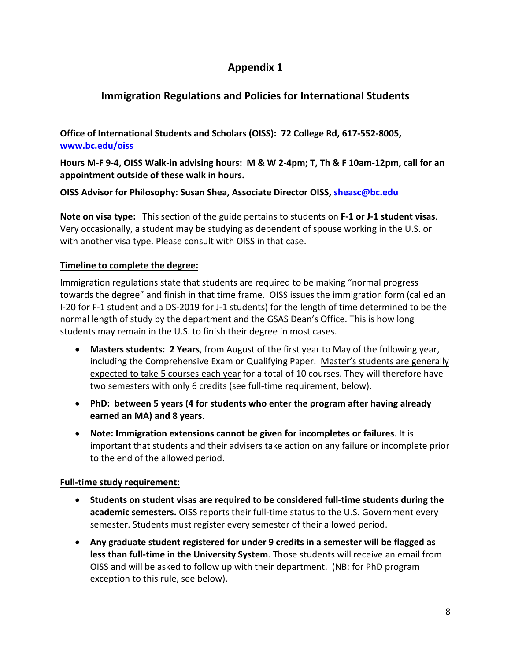# **Appendix 1**

# **Immigration Regulations and Policies for International Students**

**Office of International Students and Scholars (OISS): 72 College Rd, 617-552-8005, [www.bc.edu/oiss](http://www.bc.edu/oiss)**

**Hours M-F 9-4, OISS Walk-in advising hours: M & W 2-4pm; T, Th & F 10am-12pm, call for an appointment outside of these walk in hours.** 

**OISS Advisor for Philosophy: Susan Shea, Associate Director OISS, [sheasc@bc.edu](mailto:sheasc@bc.edu)**

**Note on visa type:** This section of the guide pertains to students on **F-1 or J-1 student visas**. Very occasionally, a student may be studying as dependent of spouse working in the U.S. or with another visa type. Please consult with OISS in that case.

#### **Timeline to complete the degree:**

Immigration regulations state that students are required to be making "normal progress towards the degree" and finish in that time frame. OISS issues the immigration form (called an I-20 for F-1 student and a DS-2019 for J-1 students) for the length of time determined to be the normal length of study by the department and the GSAS Dean's Office. This is how long students may remain in the U.S. to finish their degree in most cases.

- **Masters students: 2 Years**, from August of the first year to May of the following year, including the Comprehensive Exam or Qualifying Paper. Master's students are generally expected to take 5 courses each year for a total of 10 courses. They will therefore have two semesters with only 6 credits (see full-time requirement, below).
- **PhD: between 5 years (4 for students who enter the program after having already earned an MA) and 8 years**.
- **Note: Immigration extensions cannot be given for incompletes or failures**. It is important that students and their advisers take action on any failure or incomplete prior to the end of the allowed period.

#### **Full-time study requirement:**

- **Students on student visas are required to be considered full-time students during the academic semesters.** OISS reports their full-time status to the U.S. Government every semester. Students must register every semester of their allowed period.
- **Any graduate student registered for under 9 credits in a semester will be flagged as less than full-time in the University System**. Those students will receive an email from OISS and will be asked to follow up with their department. (NB: for PhD program exception to this rule, see below).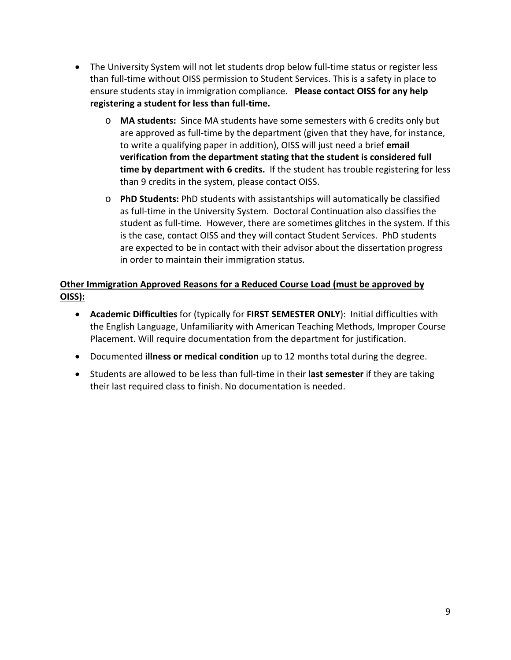- The University System will not let students drop below full-time status or register less than full-time without OISS permission to Student Services. This is a safety in place to ensure students stay in immigration compliance. **Please contact OISS for any help registering a student for less than full-time.** 
	- o **MA students:** Since MA students have some semesters with 6 credits only but are approved as full-time by the department (given that they have, for instance, to write a qualifying paper in addition), OISS will just need a brief **email verification from the department stating that the student is considered full time by department with 6 credits.** If the student has trouble registering for less than 9 credits in the system, please contact OISS.
	- o **PhD Students:** PhD students with assistantships will automatically be classified as full-time in the University System. Doctoral Continuation also classifies the student as full-time. However, there are sometimes glitches in the system. If this is the case, contact OISS and they will contact Student Services. PhD students are expected to be in contact with their advisor about the dissertation progress in order to maintain their immigration status.

## **Other Immigration Approved Reasons for a Reduced Course Load (must be approved by OISS):**

- **Academic Difficulties** for (typically for **FIRST SEMESTER ONLY**): Initial difficulties with the English Language, Unfamiliarity with American Teaching Methods, Improper Course Placement. Will require documentation from the department for justification.
- Documented **illness or medical condition** up to 12 months total during the degree.
- Students are allowed to be less than full-time in their **last semester** if they are taking their last required class to finish. No documentation is needed.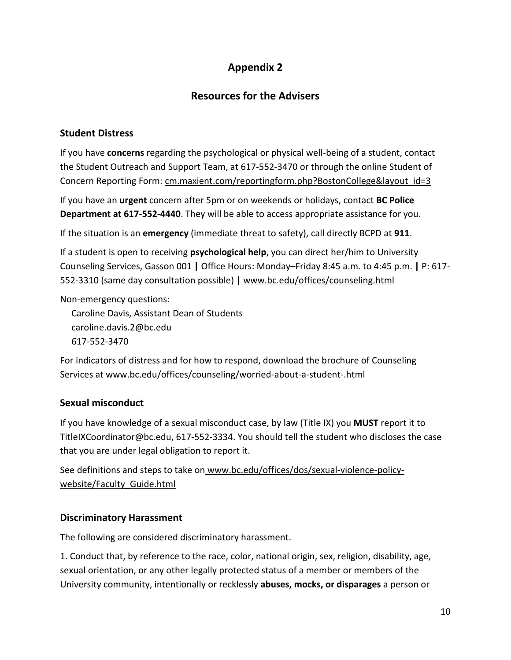# **Appendix 2**

## **Resources for the Advisers**

## **Student Distress**

If you have **concerns** regarding the psychological or physical well-being of a student, contact the Student Outreach and Support Team, at 617-552-3470 or through the online Student of Concern Reporting Form: [cm.maxient.com/reportingform.php?BostonCollege&layout\\_id=3](https://cm.maxient.com/reportingform.php?BostonCollege&layout_id=3)

If you have an **urgent** concern after 5pm or on weekends or holidays, contact **BC Police Department at 617-552-4440**. They will be able to access appropriate assistance for you.

If the situation is an **emergency** (immediate threat to safety), call directly BCPD at **911**.

If a student is open to receiving **psychological help**, you can direct her/him to University Counseling Services, Gasson 001 **|** Office Hours: Monday–Friday 8:45 a.m. to 4:45 p.m. **|** P: 617- 552-3310 (same day consultation possible) **|** www.bc.edu/offices/counseling.html

Non-emergency questions:

Caroline Davis, Assistant Dean of Students [caroline.davis.2@bc.edu](mailto:caroline.davis.2@bc.edu) 617-552-3470

For indicators of distress and for how to respond, download the brochure of Counseling Services at [www.bc.edu/offices/counseling/worried-about-a-student-.html](https://www.bc.edu/offices/counseling/worried-about-a-student-.html)

## **Sexual misconduct**

If you have knowledge of a sexual misconduct case, by law (Title IX) you **MUST** report it to [TitleIXCoordinator@bc.edu,](mailto:TitleIXCoordinator@bc.edu) 617-552-3334. You should tell the student who discloses the case that you are under legal obligation to report it.

See definitions and steps to take on [www.bc.edu/offices/dos/sexual-violence-policy](https://www.bc.edu/offices/dos/sexual-violence-policy-website/Faculty_Guide.html)[website/Faculty\\_Guide.html](https://www.bc.edu/offices/dos/sexual-violence-policy-website/Faculty_Guide.html)

## **Discriminatory Harassment**

The following are considered discriminatory harassment.

1. Conduct that, by reference to the race, color, national origin, sex, religion, disability, age, sexual orientation, or any other legally protected status of a member or members of the University community, intentionally or recklessly **abuses, mocks, or disparages** a person or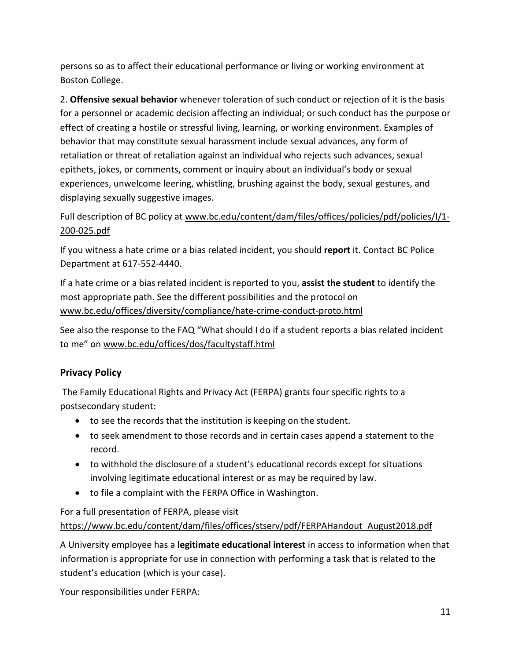persons so as to affect their educational performance or living or working environment at Boston College.

2. **Offensive sexual behavior** whenever toleration of such conduct or rejection of it is the basis for a personnel or academic decision affecting an individual; or such conduct has the purpose or effect of creating a hostile or stressful living, learning, or working environment. Examples of behavior that may constitute sexual harassment include sexual advances, any form of retaliation or threat of retaliation against an individual who rejects such advances, sexual epithets, jokes, or comments, comment or inquiry about an individual's body or sexual experiences, unwelcome leering, whistling, brushing against the body, sexual gestures, and displaying sexually suggestive images.

## Full description of BC policy at [www.bc.edu/content/dam/files/offices/policies/pdf/policies/I/1-](https://www.bc.edu/content/dam/files/offices/policies/pdf/policies/I/1-200-025.pdf) [200-025.pdf](https://www.bc.edu/content/dam/files/offices/policies/pdf/policies/I/1-200-025.pdf)

If you witness a hate crime or a bias related incident, you should **report** it. Contact BC Police Department at 617-552-4440.

If a hate crime or a bias related incident is reported to you, **assist the student** to identify the most appropriate path. See the different possibilities and the protocol on [www.bc.edu/offices/diversity/compliance/hate-crime-conduct-proto.html](https://www.bc.edu/offices/diversity/compliance/hate-crime-conduct-proto.html)

See also the response to the FAQ "What should I do if a student reports a bias related incident to me" o[n www.bc.edu/offices/dos/facultystaff.html](https://www.bc.edu/offices/dos/facultystaff.html)

## **Privacy Policy**

The Family Educational Rights and Privacy Act (FERPA) grants four specific rights to a postsecondary student:

- to see the records that the institution is keeping on the student.
- to seek amendment to those records and in certain cases append a statement to the record.
- to withhold the disclosure of a student's educational records except for situations involving legitimate educational interest or as may be required by law.
- to file a complaint with the FERPA Office in Washington.

## For a full presentation of FERPA, please visit [https://www.bc.edu/content/dam/files/offices/stserv/pdf/FERPAHandout\\_August2018.pdf](https://www.bc.edu/content/dam/files/offices/stserv/pdf/FERPAHandout_August2018.pdf)

A University employee has a **legitimate educational interest** in access to information when that information is appropriate for use in connection with performing a task that is related to the student's education (which is your case).

Your responsibilities under FERPA: